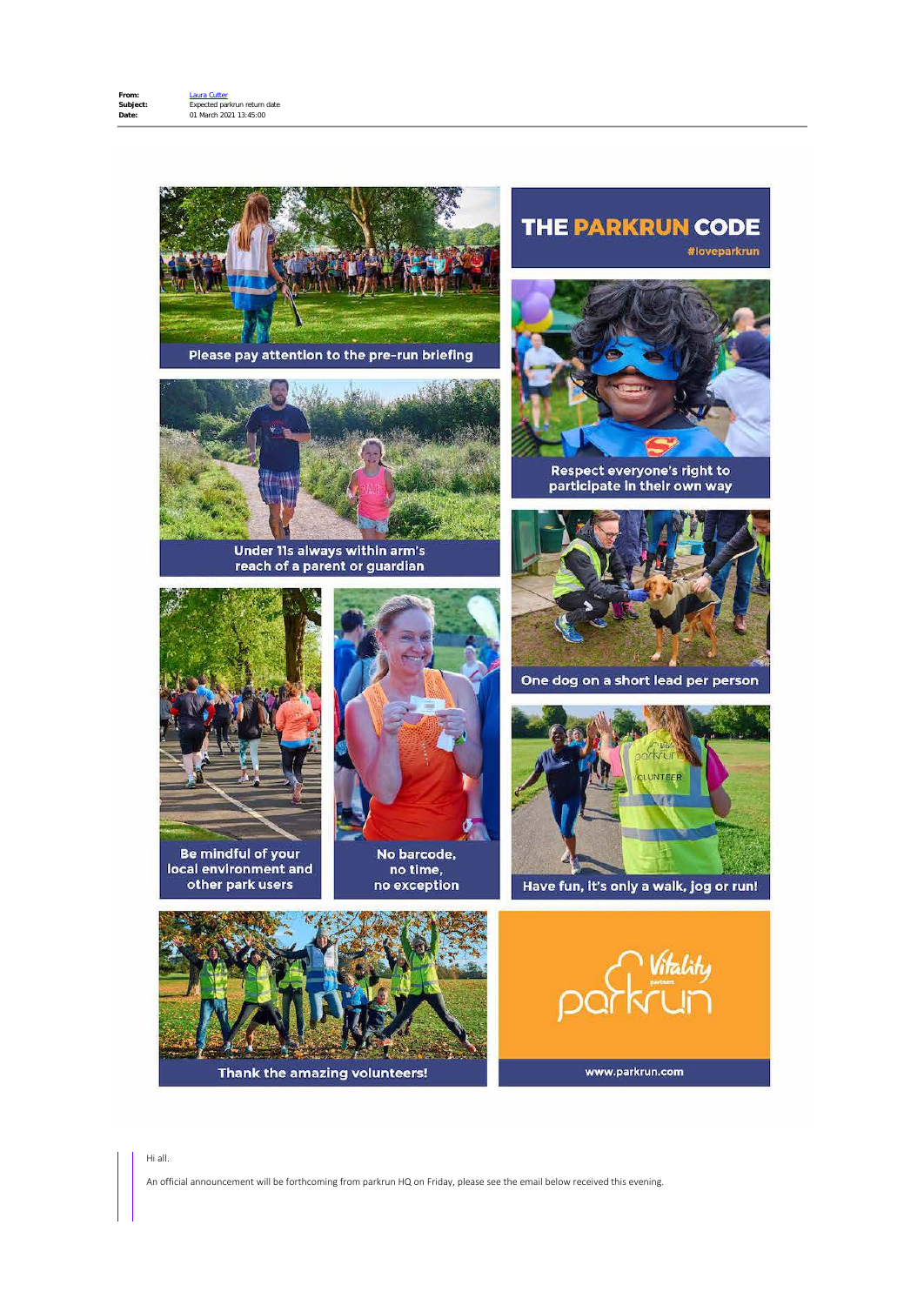

An official announcement will be forthcoming from parkrun HQ on Friday, please see the email below received this evening.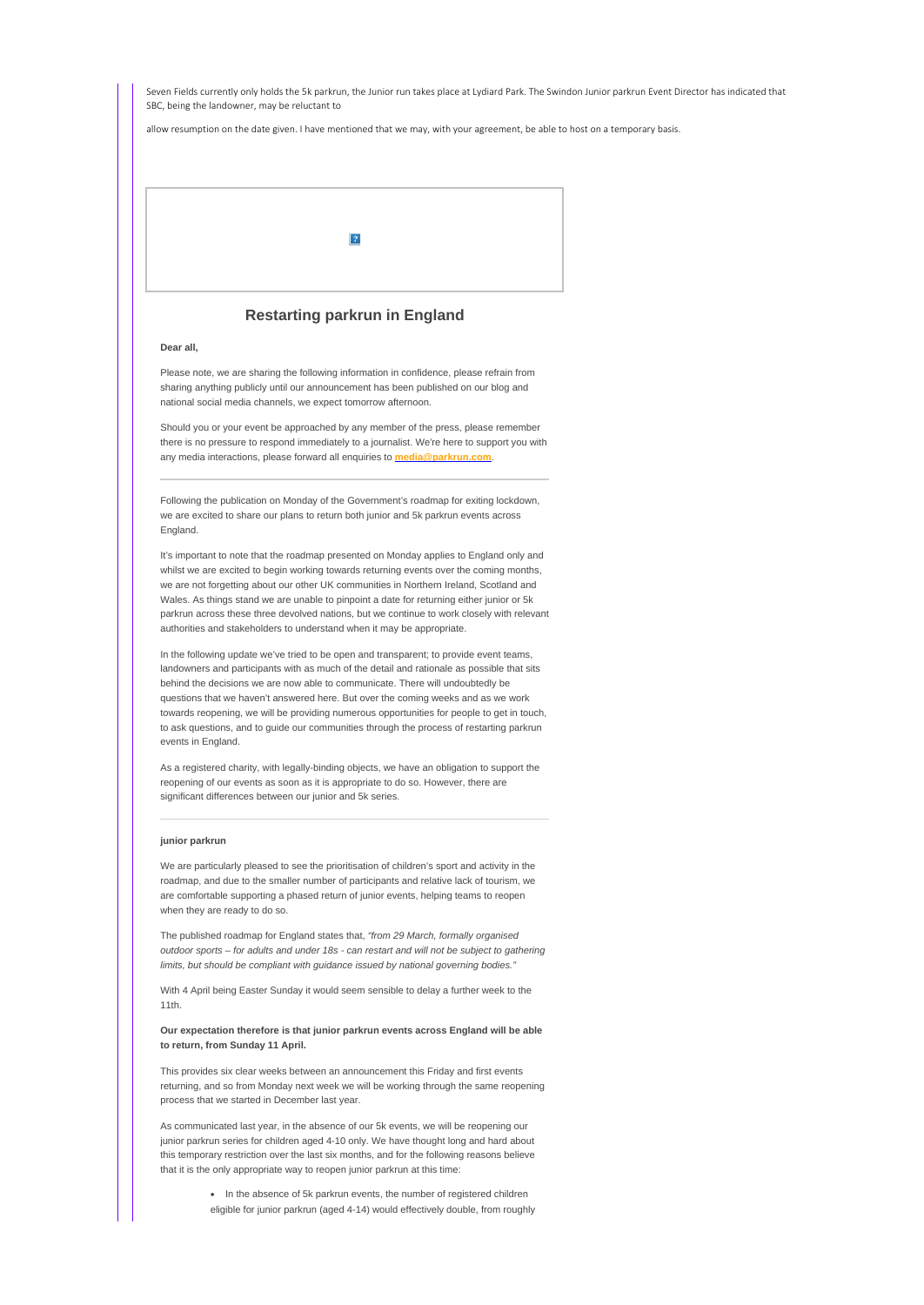Seven Fields currently only holds the 5k parkrun, the Junior run takes place at Lydiard Park. The Swindon Junior parkrun Event Director has indicated that SBC, being the landowner, may be reluctant to

allow resumption on the date given. I have mentioned that we may, with your agreement, be able to host on a temporary basis.



# **Restarting parkrun in England**

### **Dear all,**

Please note, we are sharing the following information in confidence, please refrain from sharing anything publicly until our announcement has been published on our blog and national social media channels, we expect tomorrow afternoon.

Should you or your event be approached by any member of the press, please remember there is no pressure to respond immediately to a journalist. We're here to support you with any media interactions, please forward all enquiries to **[media@parkrun.com](mailto:media@parkrun.com)**.

Following the publication on Monday of the Government's roadmap for exiting lockdown, we are excited to share our plans to return both junior and 5k parkrun events across England.

It's important to note that the roadmap presented on Monday applies to England only and whilst we are excited to begin working towards returning events over the coming months, we are not forgetting about our other UK communities in Northern Ireland, Scotland and Wales. As things stand we are unable to pinpoint a date for returning either junior or 5k parkrun across these three devolved nations, but we continue to work closely with relevant authorities and stakeholders to understand when it may be appropriate.

In the following update we've tried to be open and transparent; to provide event teams, landowners and participants with as much of the detail and rationale as possible that sits behind the decisions we are now able to communicate. There will undoubtedly be questions that we haven't answered here. But over the coming weeks and as we work towards reopening, we will be providing numerous opportunities for people to get in touch, to ask questions, and to guide our communities through the process of restarting parkrun events in England.

As a registered charity, with legally-binding objects, we have an obligation to support the reopening of our events as soon as it is appropriate to do so. However, there are significant differences between our junior and 5k series.

#### **junior parkrun**

We are particularly pleased to see the prioritisation of children's sport and activity in the roadmap, and due to the smaller number of participants and relative lack of tourism, we are comfortable supporting a phased return of junior events, helping teams to reopen when they are ready to do so.

The published roadmap for England states that, *"from 29 March, formally organised outdoor sports – for adults and under 18s - can restart and will not be subject to gathering limits, but should be compliant with guidance issued by national governing bodies."*

With 4 April being Easter Sunday it would seem sensible to delay a further week to the 11th.

# **Our expectation therefore is that junior parkrun events across England will be able to return, from Sunday 11 April.**

This provides six clear weeks between an announcement this Friday and first events returning, and so from Monday next week we will be working through the same reopening process that we started in December last year.

As communicated last year, in the absence of our 5k events, we will be reopening our junior parkrun series for children aged 4-10 only. We have thought long and hard about this temporary restriction over the last six months, and for the following reasons believe that it is the only appropriate way to reopen junior parkrun at this time:

> · In the absence of 5k parkrun events, the number of registered children eligible for junior parkrun (aged 4-14) would effectively double, from roughly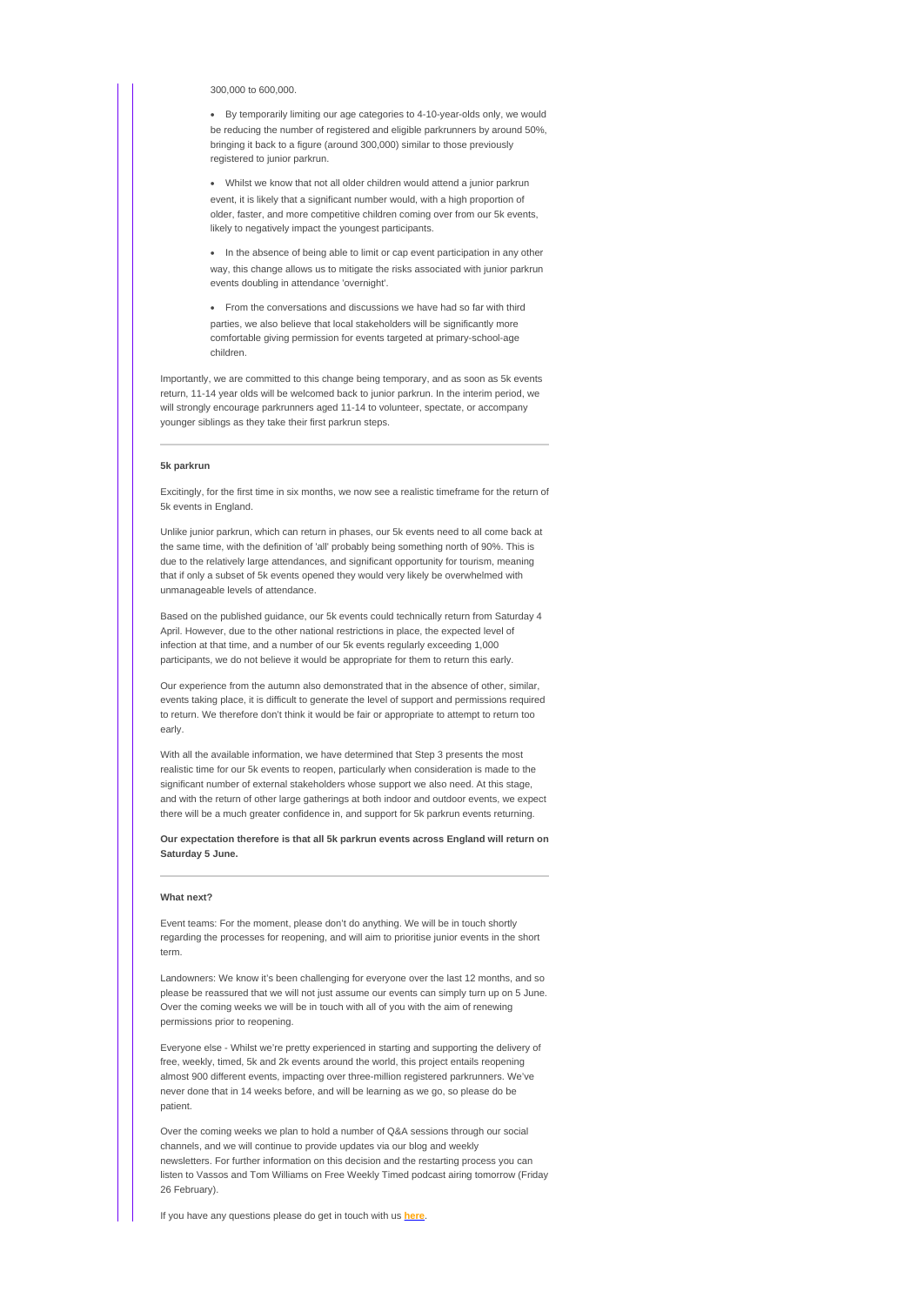300,000 to 600,000.

· By temporarily limiting our age categories to 4-10-year-olds only, we would be reducing the number of registered and eligible parkrunners by around 50%, bringing it back to a figure (around 300,000) similar to those previously registered to junior parkrun.

· Whilst we know that not all older children would attend a junior parkrun event, it is likely that a significant number would, with a high proportion of older, faster, and more competitive children coming over from our 5k events, likely to negatively impact the youngest participants.

· In the absence of being able to limit or cap event participation in any other way, this change allows us to mitigate the risks associated with junior parkrun events doubling in attendance 'overnight'.

· From the conversations and discussions we have had so far with third parties, we also believe that local stakeholders will be significantly more comfortable giving permission for events targeted at primary-school-age children.

Importantly, we are committed to this change being temporary, and as soon as 5k events return, 11-14 year olds will be welcomed back to junior parkrun. In the interim period, we will strongly encourage parkrunners aged 11-14 to volunteer, spectate, or accompany younger siblings as they take their first parkrun steps.

# **5k parkrun**

Excitingly, for the first time in six months, we now see a realistic timeframe for the return of 5k events in England.

Unlike junior parkrun, which can return in phases, our 5k events need to all come back at the same time, with the definition of 'all' probably being something north of 90%. This is due to the relatively large attendances, and significant opportunity for tourism, meaning that if only a subset of 5k events opened they would very likely be overwhelmed with unmanageable levels of attendance.

Based on the published guidance, our 5k events could technically return from Saturday 4 April. However, due to the other national restrictions in place, the expected level of infection at that time, and a number of our 5k events regularly exceeding 1,000 participants, we do not believe it would be appropriate for them to return this early.

Our experience from the autumn also demonstrated that in the absence of other, similar, events taking place, it is difficult to generate the level of support and permissions required to return. We therefore don't think it would be fair or appropriate to attempt to return too early.

With all the available information, we have determined that Step 3 presents the most realistic time for our 5k events to reopen, particularly when consideration is made to the significant number of external stakeholders whose support we also need. At this stage, and with the return of other large gatherings at both indoor and outdoor events, we expect there will be a much greater confidence in, and support for 5k parkrun events returning.

**Our expectation therefore is that all 5k parkrun events across England will return on Saturday 5 June.**

#### **What next?**

Event teams: For the moment, please don't do anything. We will be in touch shortly regarding the processes for reopening, and will aim to prioritise junior events in the short term.

Landowners: We know it's been challenging for everyone over the last 12 months, and so please be reassured that we will not just assume our events can simply turn up on 5 June. Over the coming weeks we will be in touch with all of you with the aim of renewing permissions prior to reopening.

Everyone else - Whilst we're pretty experienced in starting and supporting the delivery of free, weekly, timed, 5k and 2k events around the world, this project entails reopening almost 900 different events, impacting over three-million registered parkrunners. We've never done that in 14 weeks before, and will be learning as we go, so please do be patient.

Over the coming weeks we plan to hold a number of Q&A sessions through our social channels, and we will continue to provide updates via our blog and weekly newsletters. For further information on this decision and the restarting process you can listen to Vassos and Tom Williams on Free Weekly Timed podcast airing tomorrow (Friday 26 February).

If you have any questions please do get in touch with us **[here](https://email.parkrun.com/t/i-l-mdjikul-jyihirlhid-r/)**.